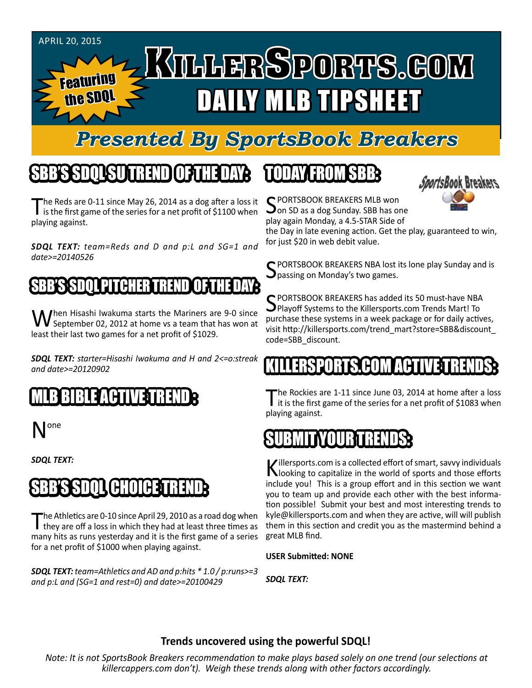

# *Presented By SportsBook Breakers*

# SBB'S SDQL SU TREND OF THE DAY:

The Reds are 0-11 since May 26, 2014 as a dog after a loss it is the first game of the series for a net profit of \$1100 when playing against.

*SDQL TEXT: team=Reds and D and p:L and SG=1 and date>=20140526*

#### 'S'SDQL PITCHER T

When Hisashi Iwakuma starts the Mariners are 9-0 since<br>September 02, 2012 at home vs a team that has won at least their last two games for a net profit of \$1029.

*SDQL TEXT: starter=Hisashi Iwakuma and H and 2<=o:streak and date>=20120902*

### MLB BIBLE ACTIVE TRENDE

one

*SDQL TEXT:* 

# SBB'S SDQL CHOICE TREND

The Athletics are 0-10 since April 29, 2010 as a road dog when they are off a loss in which they had at least three times as many hits as runs yesterday and it is the first game of a series for a net profit of \$1000 when playing against.

*SDQL TEXT: team=Athletics and AD and p:hits \* 1.0 / p:runs>=3 and p:L and (SG=1 and rest=0) and date>=20100429*

# TODAY HAOMSBB



C PORTSBOOK BREAKERS MLB won  $\Box$  on SD as a dog Sunday. SBB has one play again Monday, a 4.5-STAR Side of

the Day in late evening action. Get the play, guaranteed to win, for just \$20 in web debit value.

SPORTSBOOK BREAKERS NBA lost its lone play Sunday and is Spassing on Monday's two games.

SPORTSBOOK BREAKERS has added its 50 must-have NBA<br>SPlayoff Systems to the Killersports.com Trends Mart! To purchase these systems in a week package or for daily actives, visit http://killersports.com/trend\_mart?store=SBB&discount\_ code=SBB\_discount.

### RTS COM ACT

The Rockies are 1-11 since June 03, 2014 at home after a loss<br>it is the first game of the series for a net profit of \$1083 when playing against.

#### SUBMIT YOUR TREE SUBMIT

Killersports.com is a collected effort of smart, savvy individuals<br>Nooking to capitalize in the world of sports and those efforts include you! This is a group effort and in this section we want you to team up and provide each other with the best information possible! Submit your best and most interesting trends to kyle@killersports.com and when they are active, will will publish them in this section and credit you as the mastermind behind a great MLB find.

**USER Submitted: NONE**

*SDQL TEXT:* 

#### **Trends uncovered using the powerful SDQL!**

*Note: It is not SportsBook Breakers recommendation to make plays based solely on one trend (our selections at killercappers.com don't). Weigh these trends along with other factors accordingly.*